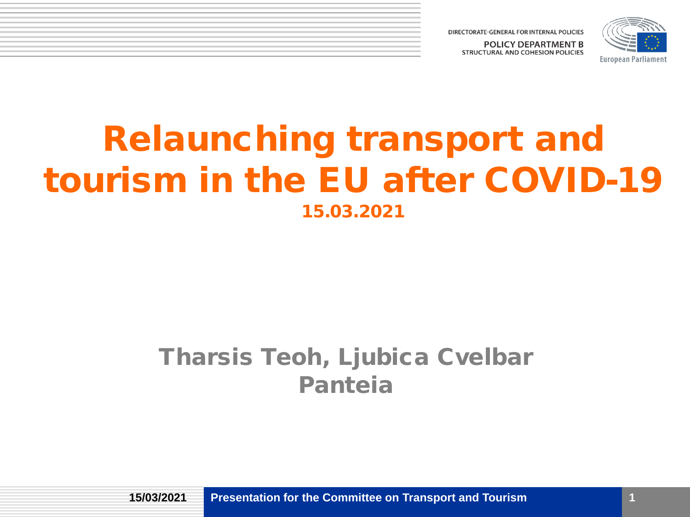



# Relaunching transport and tourism in the EU after COVID-19 15.03.2021

#### Tharsis Teoh, Ljubica Cvelbar Panteia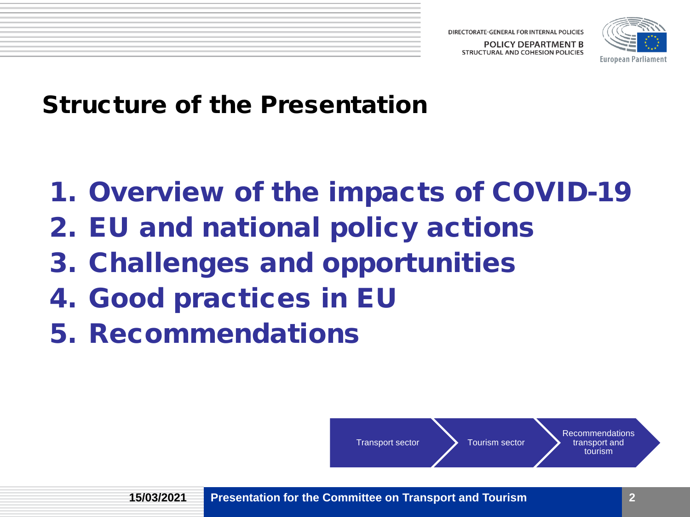**STRUCTURAL AND COHESION POLICIES** 



Structure of the Presentation

- 1. Overview of the impacts of COVID-19
- 2. EU and national policy actions
- 3. Challenges and opportunities
- 4. Good practices in EU
- 5. Recommendations

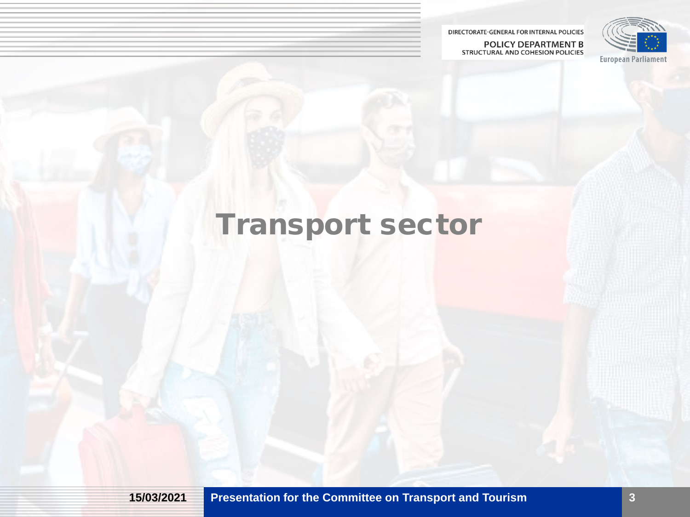POLICY DEPARTMENT B STRUCTURAL AND COHESION POLICIES



# Transport sector

**15/03/2021 Presentation for the Committee on Transport and Tourism**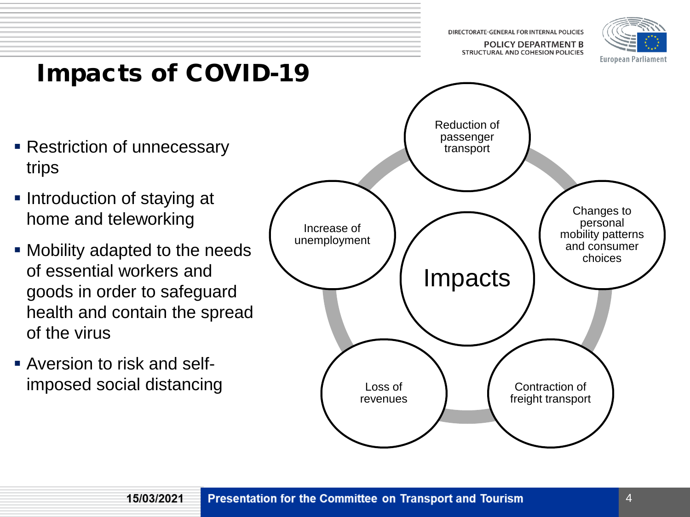**POLICY DEPARTMENT B STRUCTURAL AND COHESION POLICIES** 



# Impacts of COVID-19

- **Restriction of unnecessary** trips
- **Introduction of staying at** home and teleworking
- Mobility adapted to the needs of essential workers and goods in order to safeguard health and contain the spread of the virus
- Aversion to risk and selfimposed social distancing

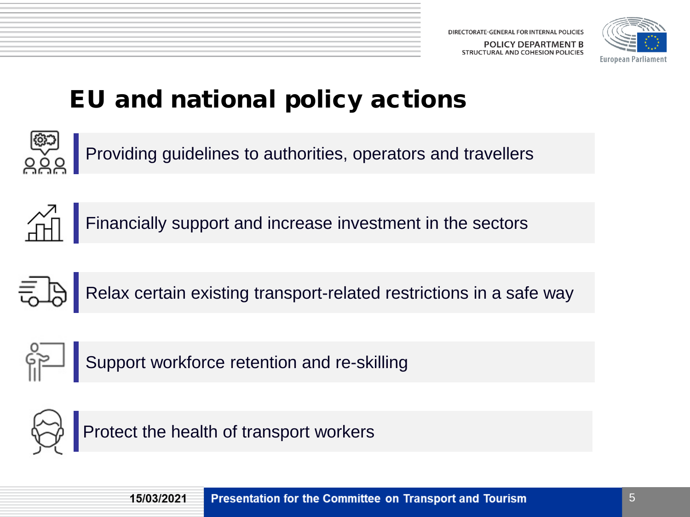

## EU and national policy actions



Providing guidelines to authorities, operators and travellers





Relax certain existing transport-related restrictions in a safe way



Support workforce retention and re-skilling



Protect the health of transport workers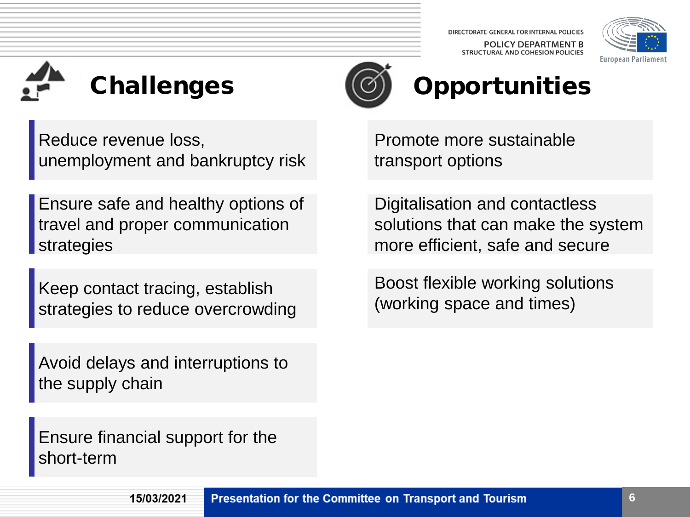DIRECTORATE-GENERAL FOR INTERNAL POLICIES **POLICY DEPARTMENT B STRUCTURAL AND COHESION POLICIES** 







# **Opportunities**

Reduce revenue loss, unemployment and bankruptcy risk

Ensure safe and healthy options of travel and proper communication strategies

Keep contact tracing, establish strategies to reduce overcrowding

Avoid delays and interruptions to the supply chain

Ensure financial support for the short-term

Promote more sustainable transport options

Digitalisation and contactless solutions that can make the system more efficient, safe and secure

Boost flexible working solutions (working space and times)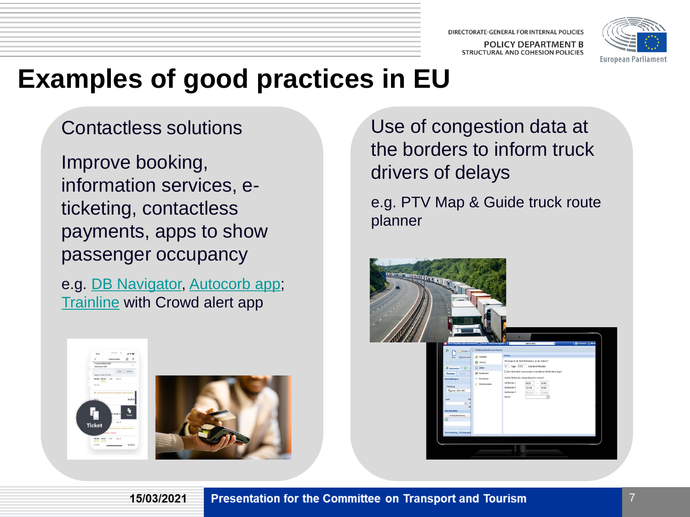DIRECTORATE-GENERAL FOR INTERNAL POLICIES **POLICY DEPARTMENT B STRUCTURAL AND COHESION POLICIES** 



# **Examples of good practices in EU**

#### Contactless solutions

Improve booking, information services, eticketing, contactless payments, apps to show passenger occupancy

e.g. [DB Navigator,](https://www.bahn.com/en/view/booking-information/booking/db-navigator-app.shtml) [Autocorb](https://www.covidmobilityworks.org/responses/catalonia-launches-app-to-show-passengers-bus-occupancy-levels-5cb67443e7) app; [Trainline](https://www.thetrainline.com/information/crowd-alerts) with Crowd alert app

15/03/2021



e.g. PTV Map & Guide truck route planner





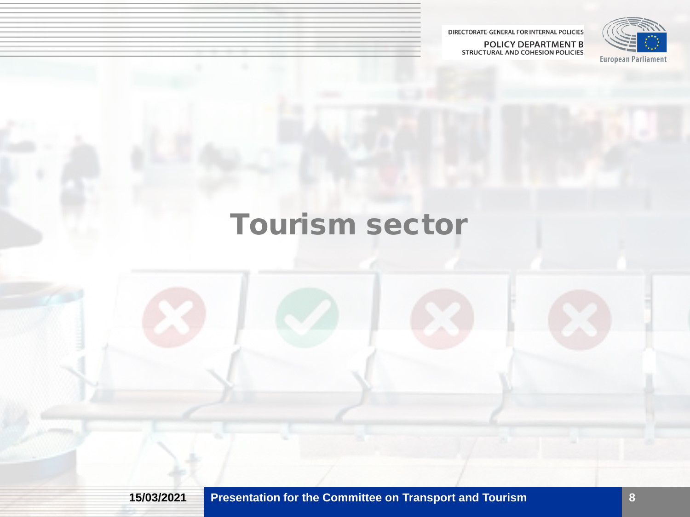POLICY DEPARTMENT B<br>STRUCTURAL AND COHESION POLICIES



# Tourism sector

**15/03/2021 Presentation for the Committee on Transport and Tourism**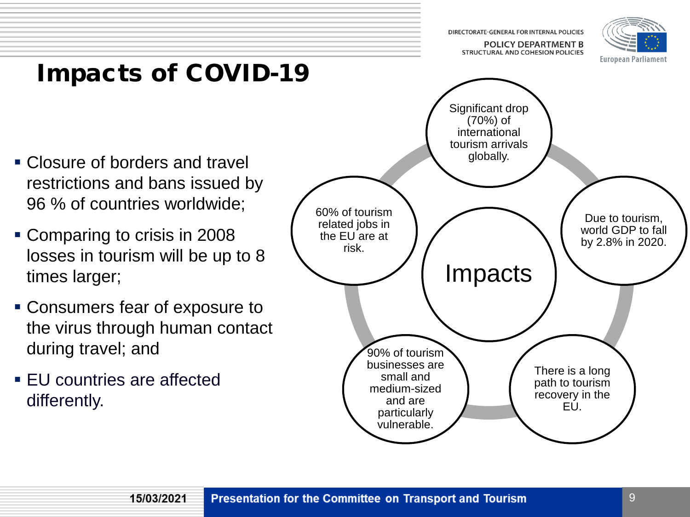**POLICY DEPARTMENT B STRUCTURAL AND COHESION POLICIES** 



## Impacts of COVID-19

- Closure of borders and travel restrictions and bans issued by 96 % of countries worldwide;
- Comparing to crisis in 2008 losses in tourism will be up to 8 times larger;
- Consumers fear of exposure to the virus through human contact during travel; and

15/03/2021

**EU** countries are affected differently.

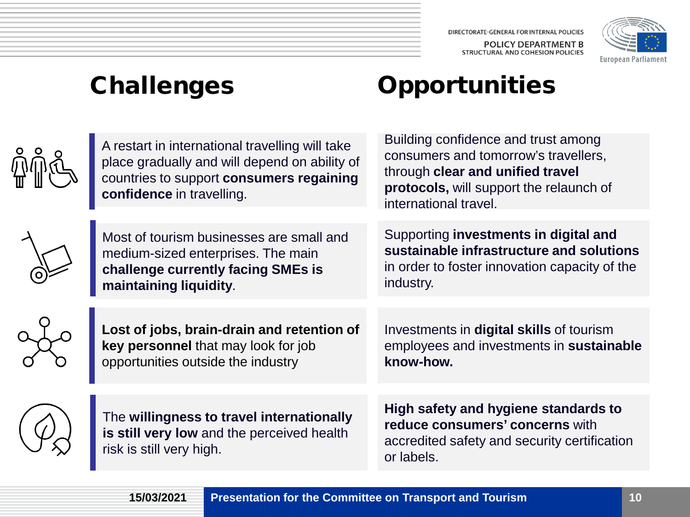DIRECTORATE-GENERAL FOR INTERNAL POLICIES POLICY DEPARTMENT B STRUCTURAL AND COHESION POLICIES



## Challenges

 $\hat{\widehat{\mathbb{U}}}$ 

 $\Omega$ 

## **Opportunities**

| A restart in international travelling will take<br>place gradually and will depend on ability of<br>countries to support consumers regaining<br>confidence in travelling. | Building confidence and trust among<br>consumers and tomorrow's travellers,<br>through clear and unified travel<br>protocols, will support the relaunch of<br>international travel. |
|---------------------------------------------------------------------------------------------------------------------------------------------------------------------------|-------------------------------------------------------------------------------------------------------------------------------------------------------------------------------------|
| Most of tourism businesses are small and<br>medium-sized enterprises. The main<br>challenge currently facing SMEs is<br>maintaining liquidity.                            | Supporting investments in digital and<br>sustainable infrastructure and solutions<br>in order to foster innovation capacity of the<br>industry.                                     |
| Lost of jobs, brain-drain and retention of<br>key personnel that may look for job<br>opportunities outside the industry                                                   | Investments in <b>digital skills</b> of tourism<br>employees and investments in sustainable<br>know-how.                                                                            |
| The willingness to travel internationally<br>is still very low and the perceived health<br>risk is still very high.                                                       | High safety and hygiene standards to<br>reduce consumers' concerns with<br>accredited safety and security certification<br>or labels.                                               |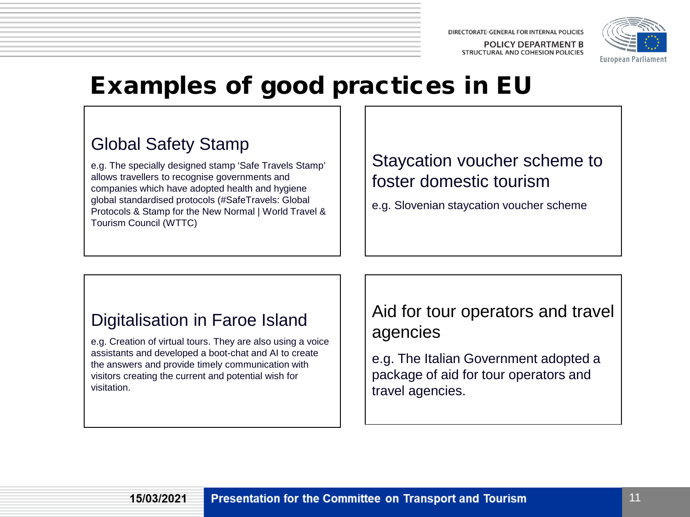**POLICY DEPARTMENT B STRUCTURAL AND COHESION POLICIES** 



### Examples of good practices in EU

#### Global Safety Stamp

e.g. The specially designed stamp 'Safe Travels Stamp' allows travellers to recognise governments and companies which have adopted health and hygiene global standardised protocols (#SafeTravels: Global Protocols & Stamp for the New Normal | World Travel & Tourism Council (WTTC)

#### Staycation voucher scheme to foster domestic tourism

e.g. Slovenian staycation voucher scheme

#### Digitalisation in Faroe Island

e.g. Creation of virtual tours. They are also using a voice assistants and developed a boot-chat and AI to create the answers and provide timely communication with visitors creating the current and potential wish for visitation.

#### Aid for tour operators and travel agencies

e.g. The Italian Government adopted a package of aid for tour operators and travel agencies.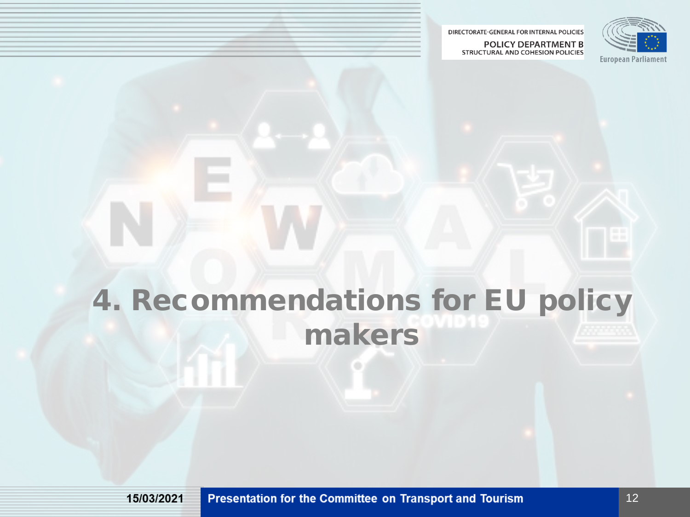**POLICY DEPARTMENT B STRUCTURAL AND COHESION POLICIES** 



# 4. Recommendations for EU policy makers

15/03/2021

Presentation for the Committee on Transport and Tourism

12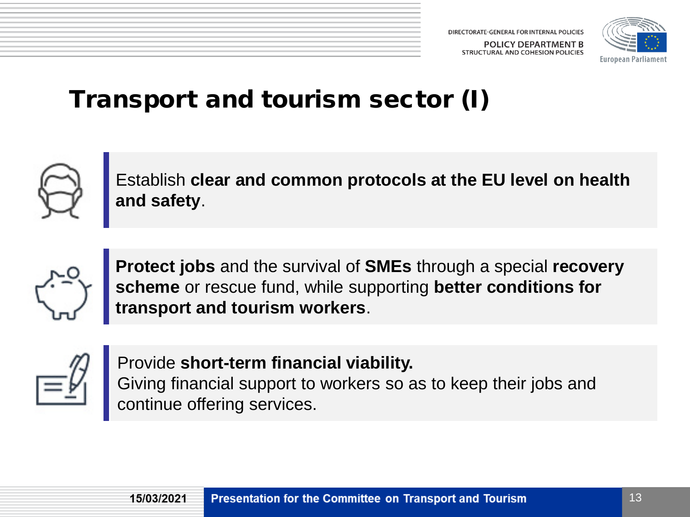

## Transport and tourism sector (I)



Establish **clear and common protocols at the EU level on health and safety**.



**Protect jobs** and the survival of **SMEs** through a special **recovery scheme** or rescue fund, while supporting **better conditions for transport and tourism workers**.



Provide **short-term financial viability.** Giving financial support to workers so as to keep their jobs and continue offering services.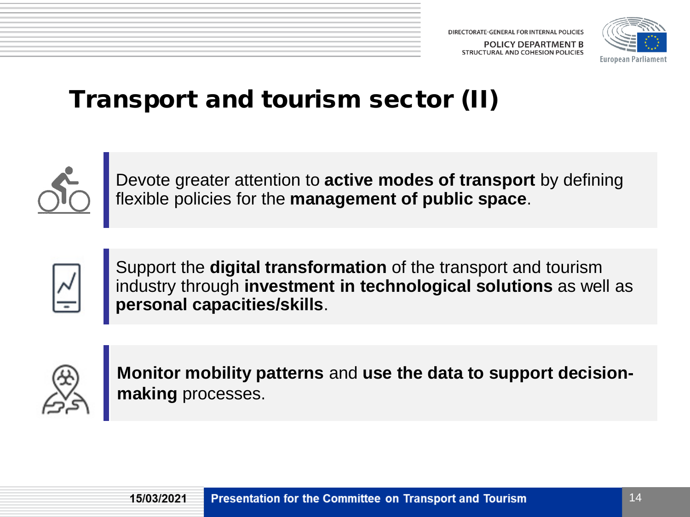

## Transport and tourism sector (II)



Devote greater attention to **active modes of transport** by defining flexible policies for the **management of public space**.



Support the **digital transformation** of the transport and tourism industry through **investment in technological solutions** as well as **personal capacities/skills**.



**Monitor mobility patterns** and **use the data to support decisionmaking** processes.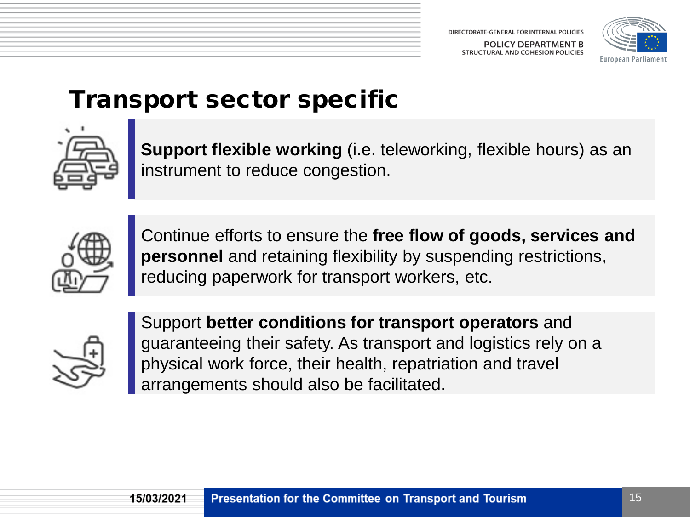

### Transport sector specific



**Support flexible working** (i.e. teleworking, flexible hours) as an instrument to reduce congestion.



Continue efforts to ensure the **free flow of goods, services and personnel** and retaining flexibility by suspending restrictions, reducing paperwork for transport workers, etc.



Support **better conditions for transport operators** and guaranteeing their safety. As transport and logistics rely on a physical work force, their health, repatriation and travel arrangements should also be facilitated.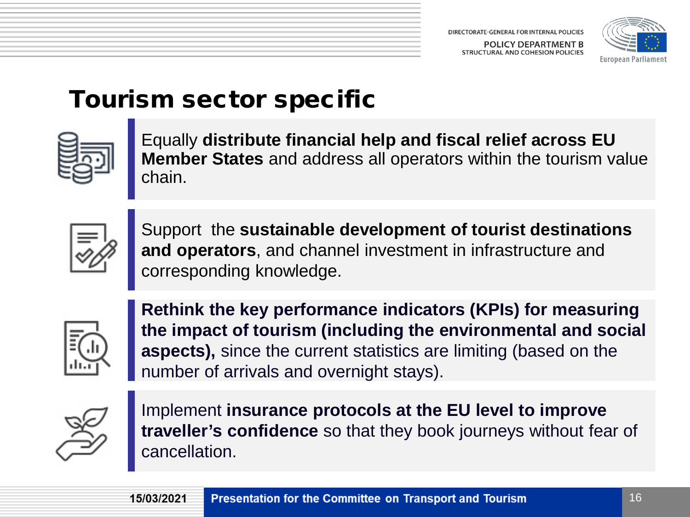

### Tourism sector specific



Equally **distribute financial help and fiscal relief across EU Member States** and address all operators within the tourism value chain.



Support the **sustainable development of tourist destinations and operators**, and channel investment in infrastructure and corresponding knowledge.



**Rethink the key performance indicators (KPIs) for measuring the impact of tourism (including the environmental and social aspects),** since the current statistics are limiting (based on the number of arrivals and overnight stays).



Implement **insurance protocols at the EU level to improve traveller's confidence** so that they book journeys without fear of cancellation.